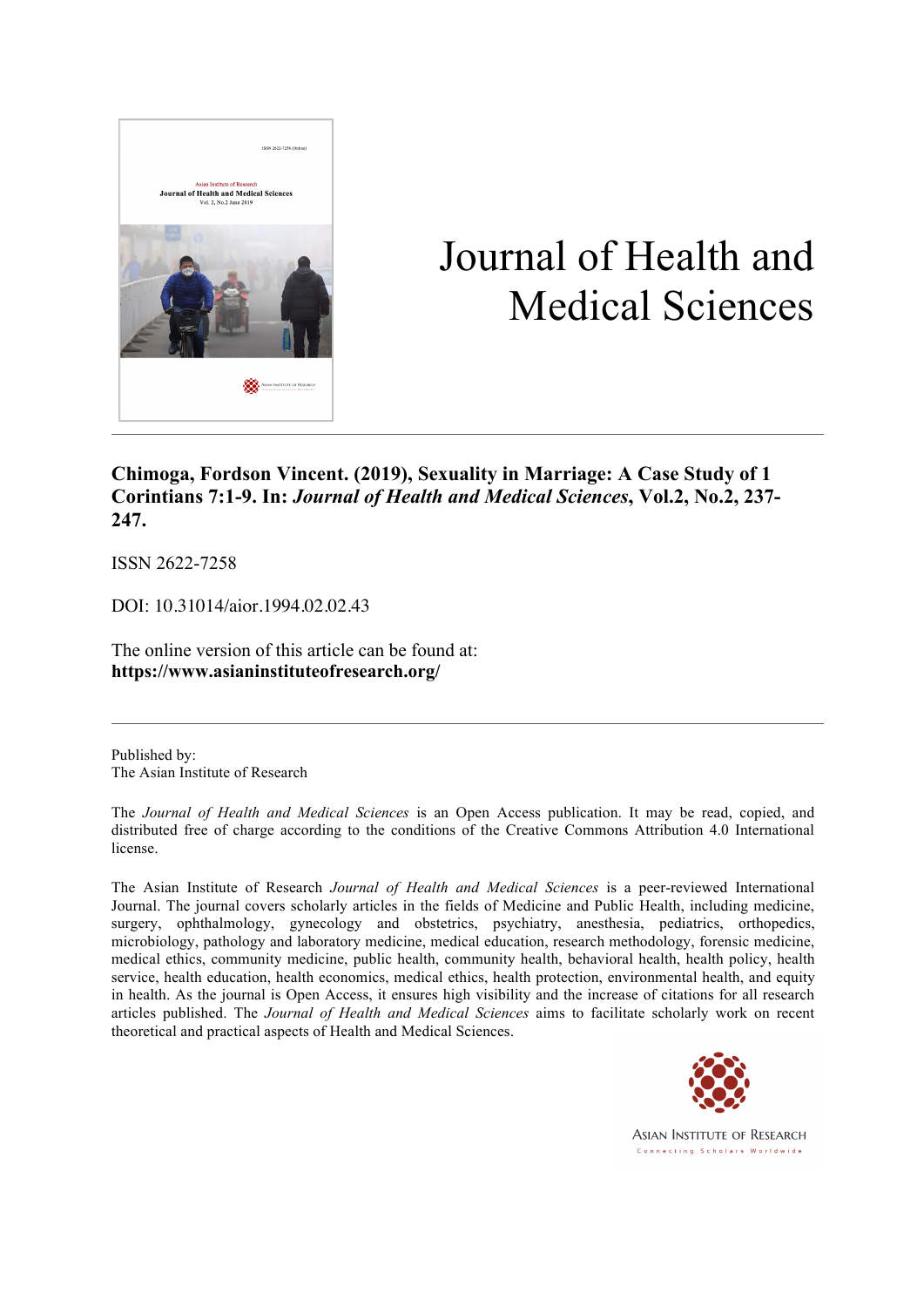

# Journal of Health and Medical Sciences

**Chimoga, Fordson Vincent. (2019), Sexuality in Marriage: A Case Study of 1 Corintians 7:1-9. In:** *Journal of Health and Medical Sciences***, Vol.2, No.2, 237- 247.**

ISSN 2622-7258

DOI: 10.31014/aior.1994.02.02.43

The online version of this article can be found at: **https://www.asianinstituteofresearch.org/**

Published by: The Asian Institute of Research

The *Journal of Health and Medical Sciences* is an Open Access publication. It may be read, copied, and distributed free of charge according to the conditions of the Creative Commons Attribution 4.0 International license.

The Asian Institute of Research *Journal of Health and Medical Sciences* is a peer-reviewed International Journal. The journal covers scholarly articles in the fields of Medicine and Public Health, including medicine, surgery, ophthalmology, gynecology and obstetrics, psychiatry, anesthesia, pediatrics, orthopedics, microbiology, pathology and laboratory medicine, medical education, research methodology, forensic medicine, medical ethics, community medicine, public health, community health, behavioral health, health policy, health service, health education, health economics, medical ethics, health protection, environmental health, and equity in health. As the journal is Open Access, it ensures high visibility and the increase of citations for all research articles published. The *Journal of Health and Medical Sciences* aims to facilitate scholarly work on recent theoretical and practical aspects of Health and Medical Sciences.



**ASIAN INSTITUTE OF RESEARCH** Connecting Scholars Worldwide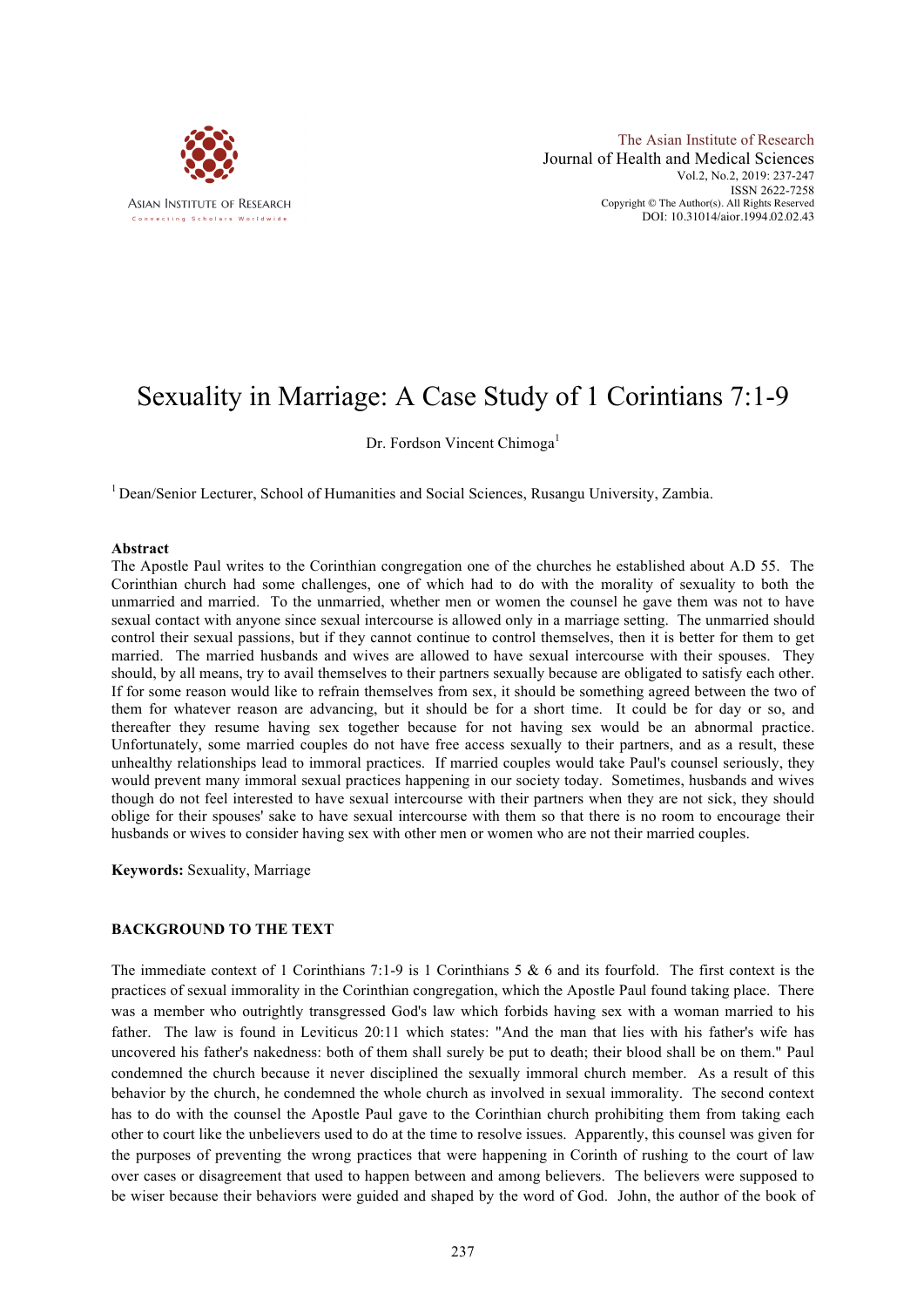

The Asian Institute of Research Journal of Health and Medical Sciences Vol.2, No.2, 2019: 237-247 ISSN 2622-7258 Copyright © The Author(s). All Rights Reserved DOI: 10.31014/aior.1994.02.02.43

# Sexuality in Marriage: A Case Study of 1 Corintians 7:1-9

Dr. Fordson Vincent Chimoga<sup>1</sup>

<sup>1</sup> Dean/Senior Lecturer, School of Humanities and Social Sciences, Rusangu University, Zambia.

#### **Abstract**

The Apostle Paul writes to the Corinthian congregation one of the churches he established about A.D 55. The Corinthian church had some challenges, one of which had to do with the morality of sexuality to both the unmarried and married. To the unmarried, whether men or women the counsel he gave them was not to have sexual contact with anyone since sexual intercourse is allowed only in a marriage setting. The unmarried should control their sexual passions, but if they cannot continue to control themselves, then it is better for them to get married. The married husbands and wives are allowed to have sexual intercourse with their spouses. They should, by all means, try to avail themselves to their partners sexually because are obligated to satisfy each other. If for some reason would like to refrain themselves from sex, it should be something agreed between the two of them for whatever reason are advancing, but it should be for a short time. It could be for day or so, and thereafter they resume having sex together because for not having sex would be an abnormal practice. Unfortunately, some married couples do not have free access sexually to their partners, and as a result, these unhealthy relationships lead to immoral practices. If married couples would take Paul's counsel seriously, they would prevent many immoral sexual practices happening in our society today. Sometimes, husbands and wives though do not feel interested to have sexual intercourse with their partners when they are not sick, they should oblige for their spouses' sake to have sexual intercourse with them so that there is no room to encourage their husbands or wives to consider having sex with other men or women who are not their married couples.

**Keywords:** Sexuality, Marriage

### **BACKGROUND TO THE TEXT**

The immediate context of 1 Corinthians 7:1-9 is 1 Corinthians 5 & 6 and its fourfold. The first context is the practices of sexual immorality in the Corinthian congregation, which the Apostle Paul found taking place. There was a member who outrightly transgressed God's law which forbids having sex with a woman married to his father. The law is found in Leviticus 20:11 which states: "And the man that lies with his father's wife has uncovered his father's nakedness: both of them shall surely be put to death; their blood shall be on them." Paul condemned the church because it never disciplined the sexually immoral church member. As a result of this behavior by the church, he condemned the whole church as involved in sexual immorality. The second context has to do with the counsel the Apostle Paul gave to the Corinthian church prohibiting them from taking each other to court like the unbelievers used to do at the time to resolve issues. Apparently, this counsel was given for the purposes of preventing the wrong practices that were happening in Corinth of rushing to the court of law over cases or disagreement that used to happen between and among believers. The believers were supposed to be wiser because their behaviors were guided and shaped by the word of God. John, the author of the book of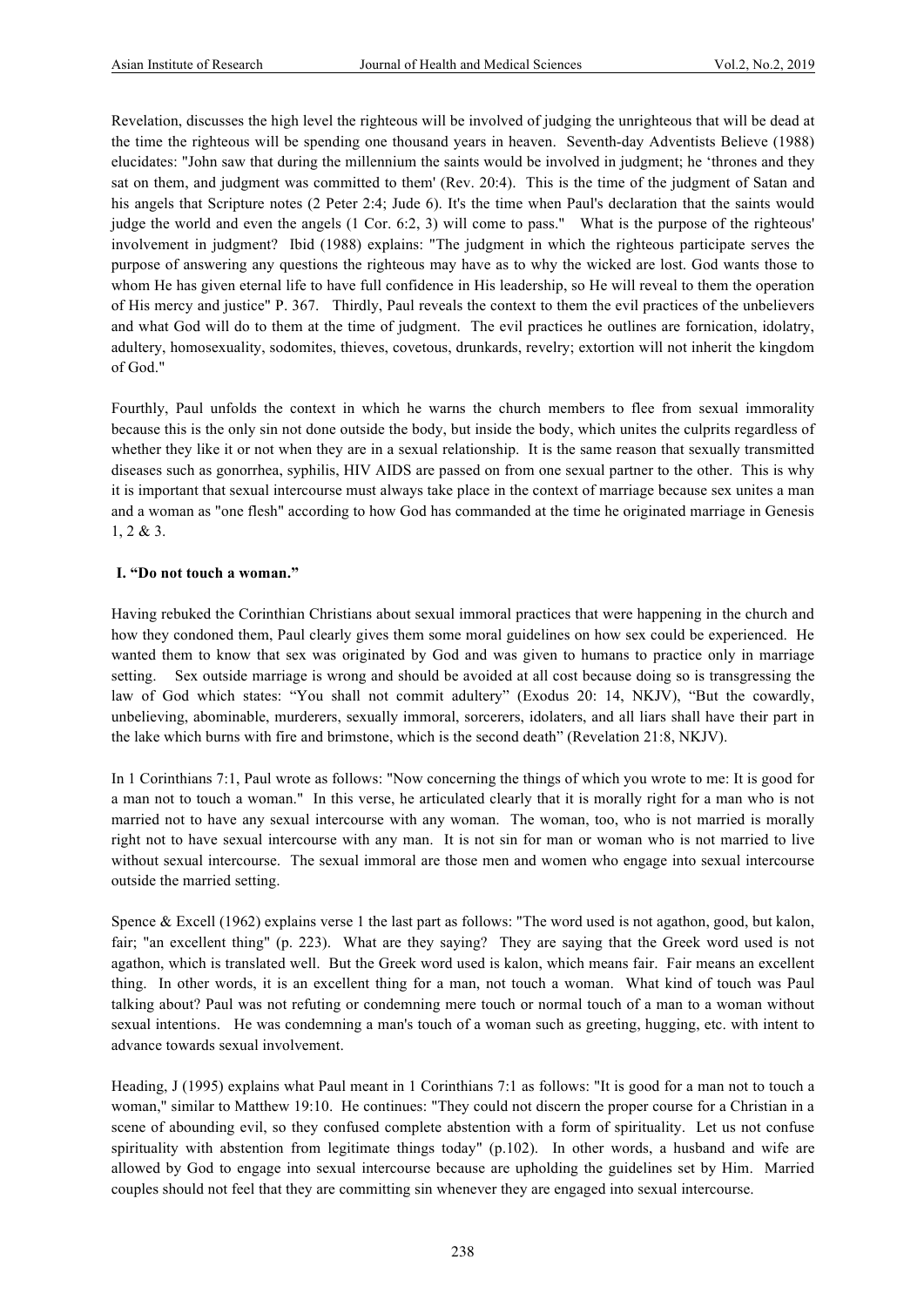Revelation, discusses the high level the righteous will be involved of judging the unrighteous that will be dead at the time the righteous will be spending one thousand years in heaven. Seventh-day Adventists Believe (1988) elucidates: "John saw that during the millennium the saints would be involved in judgment; he 'thrones and they sat on them, and judgment was committed to them' (Rev. 20:4). This is the time of the judgment of Satan and his angels that Scripture notes (2 Peter 2:4; Jude 6). It's the time when Paul's declaration that the saints would judge the world and even the angels (1 Cor. 6:2, 3) will come to pass." What is the purpose of the righteous' involvement in judgment? Ibid (1988) explains: "The judgment in which the righteous participate serves the purpose of answering any questions the righteous may have as to why the wicked are lost. God wants those to whom He has given eternal life to have full confidence in His leadership, so He will reveal to them the operation of His mercy and justice" P. 367. Thirdly, Paul reveals the context to them the evil practices of the unbelievers and what God will do to them at the time of judgment. The evil practices he outlines are fornication, idolatry, adultery, homosexuality, sodomites, thieves, covetous, drunkards, revelry; extortion will not inherit the kingdom of God."

Fourthly, Paul unfolds the context in which he warns the church members to flee from sexual immorality because this is the only sin not done outside the body, but inside the body, which unites the culprits regardless of whether they like it or not when they are in a sexual relationship. It is the same reason that sexually transmitted diseases such as gonorrhea, syphilis, HIV AIDS are passed on from one sexual partner to the other. This is why it is important that sexual intercourse must always take place in the context of marriage because sex unites a man and a woman as "one flesh" according to how God has commanded at the time he originated marriage in Genesis 1, 2 & 3.

#### **I. "Do not touch a woman."**

Having rebuked the Corinthian Christians about sexual immoral practices that were happening in the church and how they condoned them, Paul clearly gives them some moral guidelines on how sex could be experienced. He wanted them to know that sex was originated by God and was given to humans to practice only in marriage setting. Sex outside marriage is wrong and should be avoided at all cost because doing so is transgressing the law of God which states: "You shall not commit adultery" (Exodus 20: 14, NKJV), "But the cowardly, unbelieving, abominable, murderers, sexually immoral, sorcerers, idolaters, and all liars shall have their part in the lake which burns with fire and brimstone, which is the second death" (Revelation 21:8, NKJV).

In 1 Corinthians 7:1, Paul wrote as follows: "Now concerning the things of which you wrote to me: It is good for a man not to touch a woman." In this verse, he articulated clearly that it is morally right for a man who is not married not to have any sexual intercourse with any woman. The woman, too, who is not married is morally right not to have sexual intercourse with any man. It is not sin for man or woman who is not married to live without sexual intercourse. The sexual immoral are those men and women who engage into sexual intercourse outside the married setting.

Spence & Excell (1962) explains verse 1 the last part as follows: "The word used is not agathon, good, but kalon, fair; "an excellent thing" (p. 223). What are they saying? They are saying that the Greek word used is not agathon, which is translated well. But the Greek word used is kalon, which means fair. Fair means an excellent thing. In other words, it is an excellent thing for a man, not touch a woman. What kind of touch was Paul talking about? Paul was not refuting or condemning mere touch or normal touch of a man to a woman without sexual intentions. He was condemning a man's touch of a woman such as greeting, hugging, etc. with intent to advance towards sexual involvement.

Heading, J (1995) explains what Paul meant in 1 Corinthians 7:1 as follows: "It is good for a man not to touch a woman," similar to Matthew 19:10. He continues: "They could not discern the proper course for a Christian in a scene of abounding evil, so they confused complete abstention with a form of spirituality. Let us not confuse spirituality with abstention from legitimate things today" (p.102). In other words, a husband and wife are allowed by God to engage into sexual intercourse because are upholding the guidelines set by Him. Married couples should not feel that they are committing sin whenever they are engaged into sexual intercourse.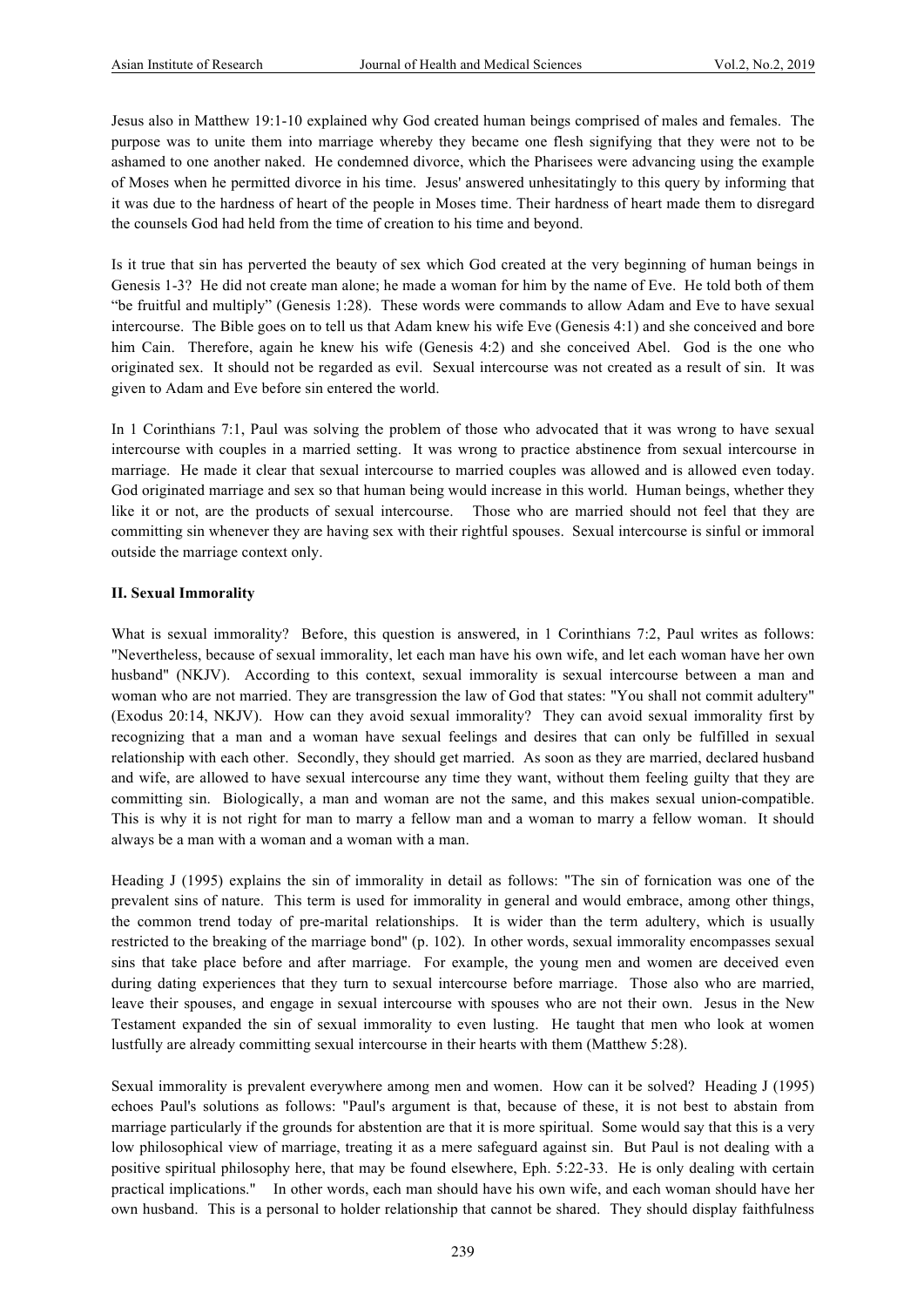Jesus also in Matthew 19:1-10 explained why God created human beings comprised of males and females. The purpose was to unite them into marriage whereby they became one flesh signifying that they were not to be ashamed to one another naked. He condemned divorce, which the Pharisees were advancing using the example of Moses when he permitted divorce in his time. Jesus' answered unhesitatingly to this query by informing that it was due to the hardness of heart of the people in Moses time. Their hardness of heart made them to disregard the counsels God had held from the time of creation to his time and beyond.

Is it true that sin has perverted the beauty of sex which God created at the very beginning of human beings in Genesis 1-3? He did not create man alone; he made a woman for him by the name of Eve. He told both of them "be fruitful and multiply" (Genesis 1:28). These words were commands to allow Adam and Eve to have sexual intercourse. The Bible goes on to tell us that Adam knew his wife Eve (Genesis 4:1) and she conceived and bore him Cain. Therefore, again he knew his wife (Genesis 4:2) and she conceived Abel. God is the one who originated sex. It should not be regarded as evil. Sexual intercourse was not created as a result of sin. It was given to Adam and Eve before sin entered the world.

In 1 Corinthians 7:1, Paul was solving the problem of those who advocated that it was wrong to have sexual intercourse with couples in a married setting. It was wrong to practice abstinence from sexual intercourse in marriage. He made it clear that sexual intercourse to married couples was allowed and is allowed even today. God originated marriage and sex so that human being would increase in this world. Human beings, whether they like it or not, are the products of sexual intercourse. Those who are married should not feel that they are committing sin whenever they are having sex with their rightful spouses. Sexual intercourse is sinful or immoral outside the marriage context only.

#### **II. Sexual Immorality**

What is sexual immorality? Before, this question is answered, in 1 Corinthians 7:2, Paul writes as follows: "Nevertheless, because of sexual immorality, let each man have his own wife, and let each woman have her own husband" (NKJV). According to this context, sexual immorality is sexual intercourse between a man and woman who are not married. They are transgression the law of God that states: "You shall not commit adultery" (Exodus 20:14, NKJV). How can they avoid sexual immorality? They can avoid sexual immorality first by recognizing that a man and a woman have sexual feelings and desires that can only be fulfilled in sexual relationship with each other. Secondly, they should get married. As soon as they are married, declared husband and wife, are allowed to have sexual intercourse any time they want, without them feeling guilty that they are committing sin. Biologically, a man and woman are not the same, and this makes sexual union-compatible. This is why it is not right for man to marry a fellow man and a woman to marry a fellow woman. It should always be a man with a woman and a woman with a man.

Heading J (1995) explains the sin of immorality in detail as follows: "The sin of fornication was one of the prevalent sins of nature. This term is used for immorality in general and would embrace, among other things, the common trend today of pre-marital relationships. It is wider than the term adultery, which is usually restricted to the breaking of the marriage bond" (p. 102). In other words, sexual immorality encompasses sexual sins that take place before and after marriage. For example, the young men and women are deceived even during dating experiences that they turn to sexual intercourse before marriage. Those also who are married, leave their spouses, and engage in sexual intercourse with spouses who are not their own. Jesus in the New Testament expanded the sin of sexual immorality to even lusting. He taught that men who look at women lustfully are already committing sexual intercourse in their hearts with them (Matthew 5:28).

Sexual immorality is prevalent everywhere among men and women. How can it be solved? Heading J (1995) echoes Paul's solutions as follows: "Paul's argument is that, because of these, it is not best to abstain from marriage particularly if the grounds for abstention are that it is more spiritual. Some would say that this is a very low philosophical view of marriage, treating it as a mere safeguard against sin. But Paul is not dealing with a positive spiritual philosophy here, that may be found elsewhere, Eph. 5:22-33. He is only dealing with certain practical implications." In other words, each man should have his own wife, and each woman should have her own husband. This is a personal to holder relationship that cannot be shared. They should display faithfulness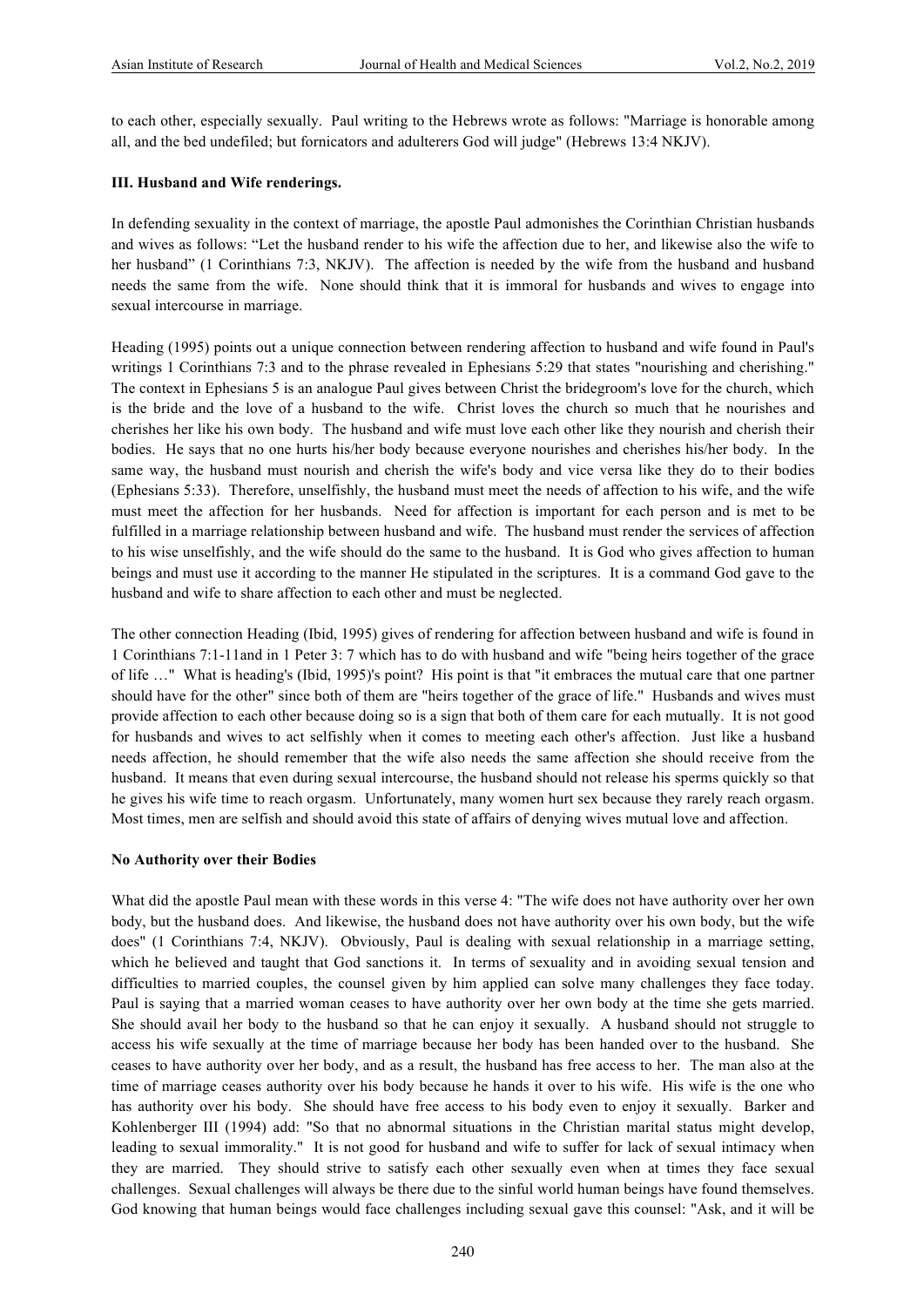to each other, especially sexually. Paul writing to the Hebrews wrote as follows: "Marriage is honorable among all, and the bed undefiled; but fornicators and adulterers God will judge" (Hebrews 13:4 NKJV).

#### **III. Husband and Wife renderings.**

In defending sexuality in the context of marriage, the apostle Paul admonishes the Corinthian Christian husbands and wives as follows: "Let the husband render to his wife the affection due to her, and likewise also the wife to her husband" (1 Corinthians 7:3, NKJV). The affection is needed by the wife from the husband and husband needs the same from the wife. None should think that it is immoral for husbands and wives to engage into sexual intercourse in marriage.

Heading (1995) points out a unique connection between rendering affection to husband and wife found in Paul's writings 1 Corinthians 7:3 and to the phrase revealed in Ephesians 5:29 that states "nourishing and cherishing." The context in Ephesians 5 is an analogue Paul gives between Christ the bridegroom's love for the church, which is the bride and the love of a husband to the wife. Christ loves the church so much that he nourishes and cherishes her like his own body. The husband and wife must love each other like they nourish and cherish their bodies. He says that no one hurts his/her body because everyone nourishes and cherishes his/her body. In the same way, the husband must nourish and cherish the wife's body and vice versa like they do to their bodies (Ephesians 5:33). Therefore, unselfishly, the husband must meet the needs of affection to his wife, and the wife must meet the affection for her husbands. Need for affection is important for each person and is met to be fulfilled in a marriage relationship between husband and wife. The husband must render the services of affection to his wise unselfishly, and the wife should do the same to the husband. It is God who gives affection to human beings and must use it according to the manner He stipulated in the scriptures. It is a command God gave to the husband and wife to share affection to each other and must be neglected.

The other connection Heading (Ibid, 1995) gives of rendering for affection between husband and wife is found in 1 Corinthians 7:1-11and in 1 Peter 3: 7 which has to do with husband and wife "being heirs together of the grace of life …" What is heading's (Ibid, 1995)'s point? His point is that "it embraces the mutual care that one partner should have for the other" since both of them are "heirs together of the grace of life." Husbands and wives must provide affection to each other because doing so is a sign that both of them care for each mutually. It is not good for husbands and wives to act selfishly when it comes to meeting each other's affection. Just like a husband needs affection, he should remember that the wife also needs the same affection she should receive from the husband. It means that even during sexual intercourse, the husband should not release his sperms quickly so that he gives his wife time to reach orgasm. Unfortunately, many women hurt sex because they rarely reach orgasm. Most times, men are selfish and should avoid this state of affairs of denying wives mutual love and affection.

#### **No Authority over their Bodies**

What did the apostle Paul mean with these words in this verse 4: "The wife does not have authority over her own body, but the husband does. And likewise, the husband does not have authority over his own body, but the wife does" (1 Corinthians 7:4, NKJV). Obviously, Paul is dealing with sexual relationship in a marriage setting, which he believed and taught that God sanctions it. In terms of sexuality and in avoiding sexual tension and difficulties to married couples, the counsel given by him applied can solve many challenges they face today. Paul is saying that a married woman ceases to have authority over her own body at the time she gets married. She should avail her body to the husband so that he can enjoy it sexually. A husband should not struggle to access his wife sexually at the time of marriage because her body has been handed over to the husband. She ceases to have authority over her body, and as a result, the husband has free access to her. The man also at the time of marriage ceases authority over his body because he hands it over to his wife. His wife is the one who has authority over his body. She should have free access to his body even to enjoy it sexually. Barker and Kohlenberger III (1994) add: "So that no abnormal situations in the Christian marital status might develop, leading to sexual immorality." It is not good for husband and wife to suffer for lack of sexual intimacy when they are married. They should strive to satisfy each other sexually even when at times they face sexual challenges. Sexual challenges will always be there due to the sinful world human beings have found themselves. God knowing that human beings would face challenges including sexual gave this counsel: "Ask, and it will be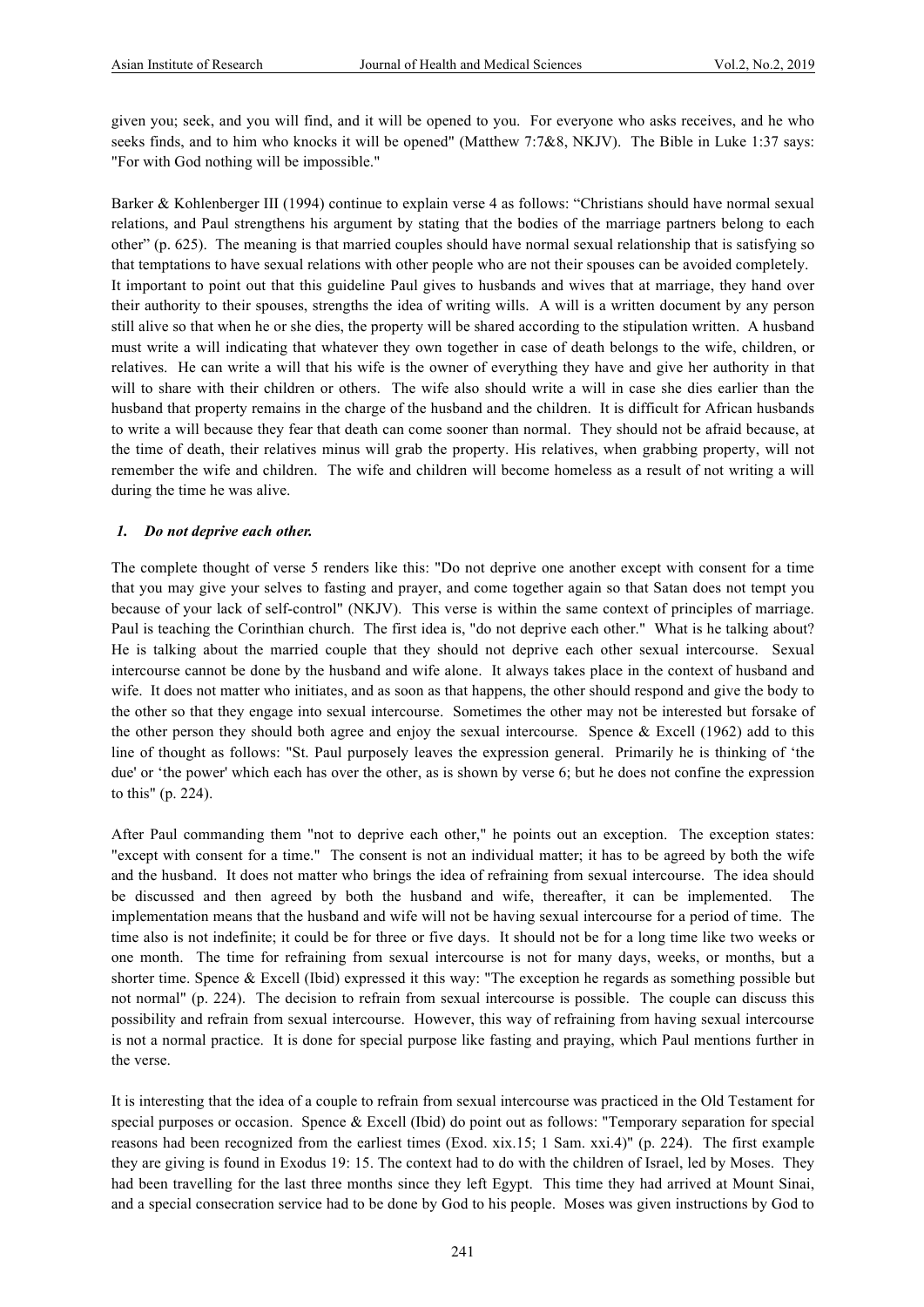given you; seek, and you will find, and it will be opened to you. For everyone who asks receives, and he who seeks finds, and to him who knocks it will be opened" (Matthew 7:7&8, NKJV). The Bible in Luke 1:37 says: "For with God nothing will be impossible."

Barker & Kohlenberger III (1994) continue to explain verse 4 as follows: "Christians should have normal sexual relations, and Paul strengthens his argument by stating that the bodies of the marriage partners belong to each other" (p. 625). The meaning is that married couples should have normal sexual relationship that is satisfying so that temptations to have sexual relations with other people who are not their spouses can be avoided completely. It important to point out that this guideline Paul gives to husbands and wives that at marriage, they hand over their authority to their spouses, strengths the idea of writing wills. A will is a written document by any person still alive so that when he or she dies, the property will be shared according to the stipulation written. A husband must write a will indicating that whatever they own together in case of death belongs to the wife, children, or relatives. He can write a will that his wife is the owner of everything they have and give her authority in that will to share with their children or others. The wife also should write a will in case she dies earlier than the husband that property remains in the charge of the husband and the children. It is difficult for African husbands to write a will because they fear that death can come sooner than normal. They should not be afraid because, at the time of death, their relatives minus will grab the property. His relatives, when grabbing property, will not remember the wife and children. The wife and children will become homeless as a result of not writing a will during the time he was alive.

#### *1. Do not deprive each other.*

The complete thought of verse 5 renders like this: "Do not deprive one another except with consent for a time that you may give your selves to fasting and prayer, and come together again so that Satan does not tempt you because of your lack of self-control" (NKJV). This verse is within the same context of principles of marriage. Paul is teaching the Corinthian church. The first idea is, "do not deprive each other." What is he talking about? He is talking about the married couple that they should not deprive each other sexual intercourse. Sexual intercourse cannot be done by the husband and wife alone. It always takes place in the context of husband and wife. It does not matter who initiates, and as soon as that happens, the other should respond and give the body to the other so that they engage into sexual intercourse. Sometimes the other may not be interested but forsake of the other person they should both agree and enjoy the sexual intercourse. Spence  $\&$  Excell (1962) add to this line of thought as follows: "St. Paul purposely leaves the expression general. Primarily he is thinking of 'the due' or 'the power' which each has over the other, as is shown by verse 6; but he does not confine the expression to this" (p. 224).

After Paul commanding them "not to deprive each other," he points out an exception. The exception states: "except with consent for a time." The consent is not an individual matter; it has to be agreed by both the wife and the husband. It does not matter who brings the idea of refraining from sexual intercourse. The idea should be discussed and then agreed by both the husband and wife, thereafter, it can be implemented. The implementation means that the husband and wife will not be having sexual intercourse for a period of time. The time also is not indefinite; it could be for three or five days. It should not be for a long time like two weeks or one month. The time for refraining from sexual intercourse is not for many days, weeks, or months, but a shorter time. Spence & Excell (Ibid) expressed it this way: "The exception he regards as something possible but not normal" (p. 224). The decision to refrain from sexual intercourse is possible. The couple can discuss this possibility and refrain from sexual intercourse. However, this way of refraining from having sexual intercourse is not a normal practice. It is done for special purpose like fasting and praying, which Paul mentions further in the verse.

It is interesting that the idea of a couple to refrain from sexual intercourse was practiced in the Old Testament for special purposes or occasion. Spence & Excell (Ibid) do point out as follows: "Temporary separation for special reasons had been recognized from the earliest times (Exod. xix.15; 1 Sam. xxi.4)" (p. 224). The first example they are giving is found in Exodus 19: 15. The context had to do with the children of Israel, led by Moses. They had been travelling for the last three months since they left Egypt. This time they had arrived at Mount Sinai, and a special consecration service had to be done by God to his people. Moses was given instructions by God to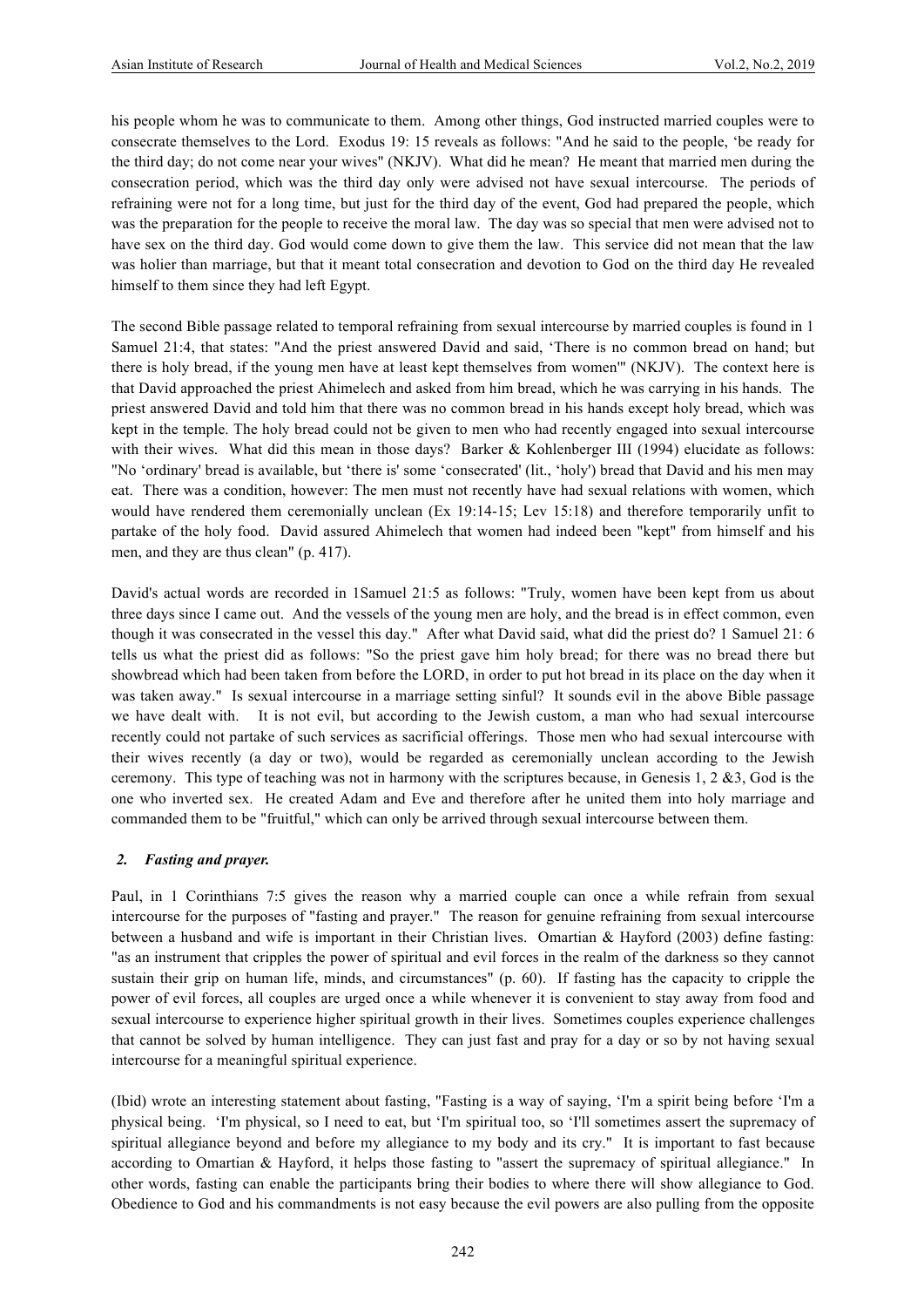his people whom he was to communicate to them. Among other things, God instructed married couples were to consecrate themselves to the Lord. Exodus 19: 15 reveals as follows: "And he said to the people, 'be ready for the third day; do not come near your wives" (NKJV). What did he mean? He meant that married men during the consecration period, which was the third day only were advised not have sexual intercourse. The periods of refraining were not for a long time, but just for the third day of the event, God had prepared the people, which was the preparation for the people to receive the moral law. The day was so special that men were advised not to have sex on the third day. God would come down to give them the law. This service did not mean that the law was holier than marriage, but that it meant total consecration and devotion to God on the third day He revealed himself to them since they had left Egypt.

The second Bible passage related to temporal refraining from sexual intercourse by married couples is found in 1 Samuel 21:4, that states: "And the priest answered David and said, 'There is no common bread on hand; but there is holy bread, if the young men have at least kept themselves from women'" (NKJV). The context here is that David approached the priest Ahimelech and asked from him bread, which he was carrying in his hands. The priest answered David and told him that there was no common bread in his hands except holy bread, which was kept in the temple. The holy bread could not be given to men who had recently engaged into sexual intercourse with their wives. What did this mean in those days? Barker & Kohlenberger III (1994) elucidate as follows: "No 'ordinary' bread is available, but 'there is' some 'consecrated' (lit., 'holy') bread that David and his men may eat. There was a condition, however: The men must not recently have had sexual relations with women, which would have rendered them ceremonially unclean (Ex 19:14-15; Lev 15:18) and therefore temporarily unfit to partake of the holy food. David assured Ahimelech that women had indeed been "kept" from himself and his men, and they are thus clean" (p. 417).

David's actual words are recorded in 1Samuel 21:5 as follows: "Truly, women have been kept from us about three days since I came out. And the vessels of the young men are holy, and the bread is in effect common, even though it was consecrated in the vessel this day." After what David said, what did the priest do? 1 Samuel 21: 6 tells us what the priest did as follows: "So the priest gave him holy bread; for there was no bread there but showbread which had been taken from before the LORD, in order to put hot bread in its place on the day when it was taken away." Is sexual intercourse in a marriage setting sinful? It sounds evil in the above Bible passage we have dealt with. It is not evil, but according to the Jewish custom, a man who had sexual intercourse recently could not partake of such services as sacrificial offerings. Those men who had sexual intercourse with their wives recently (a day or two), would be regarded as ceremonially unclean according to the Jewish ceremony. This type of teaching was not in harmony with the scriptures because, in Genesis 1, 2  $\&$ 3, God is the one who inverted sex. He created Adam and Eve and therefore after he united them into holy marriage and commanded them to be "fruitful," which can only be arrived through sexual intercourse between them.

#### *2. Fasting and prayer.*

Paul, in 1 Corinthians 7:5 gives the reason why a married couple can once a while refrain from sexual intercourse for the purposes of "fasting and prayer." The reason for genuine refraining from sexual intercourse between a husband and wife is important in their Christian lives. Omartian & Hayford (2003) define fasting: "as an instrument that cripples the power of spiritual and evil forces in the realm of the darkness so they cannot sustain their grip on human life, minds, and circumstances" (p. 60). If fasting has the capacity to cripple the power of evil forces, all couples are urged once a while whenever it is convenient to stay away from food and sexual intercourse to experience higher spiritual growth in their lives. Sometimes couples experience challenges that cannot be solved by human intelligence. They can just fast and pray for a day or so by not having sexual intercourse for a meaningful spiritual experience.

(Ibid) wrote an interesting statement about fasting, "Fasting is a way of saying, 'I'm a spirit being before 'I'm a physical being. 'I'm physical, so I need to eat, but 'I'm spiritual too, so 'I'll sometimes assert the supremacy of spiritual allegiance beyond and before my allegiance to my body and its cry." It is important to fast because according to Omartian & Hayford, it helps those fasting to "assert the supremacy of spiritual allegiance." In other words, fasting can enable the participants bring their bodies to where there will show allegiance to God. Obedience to God and his commandments is not easy because the evil powers are also pulling from the opposite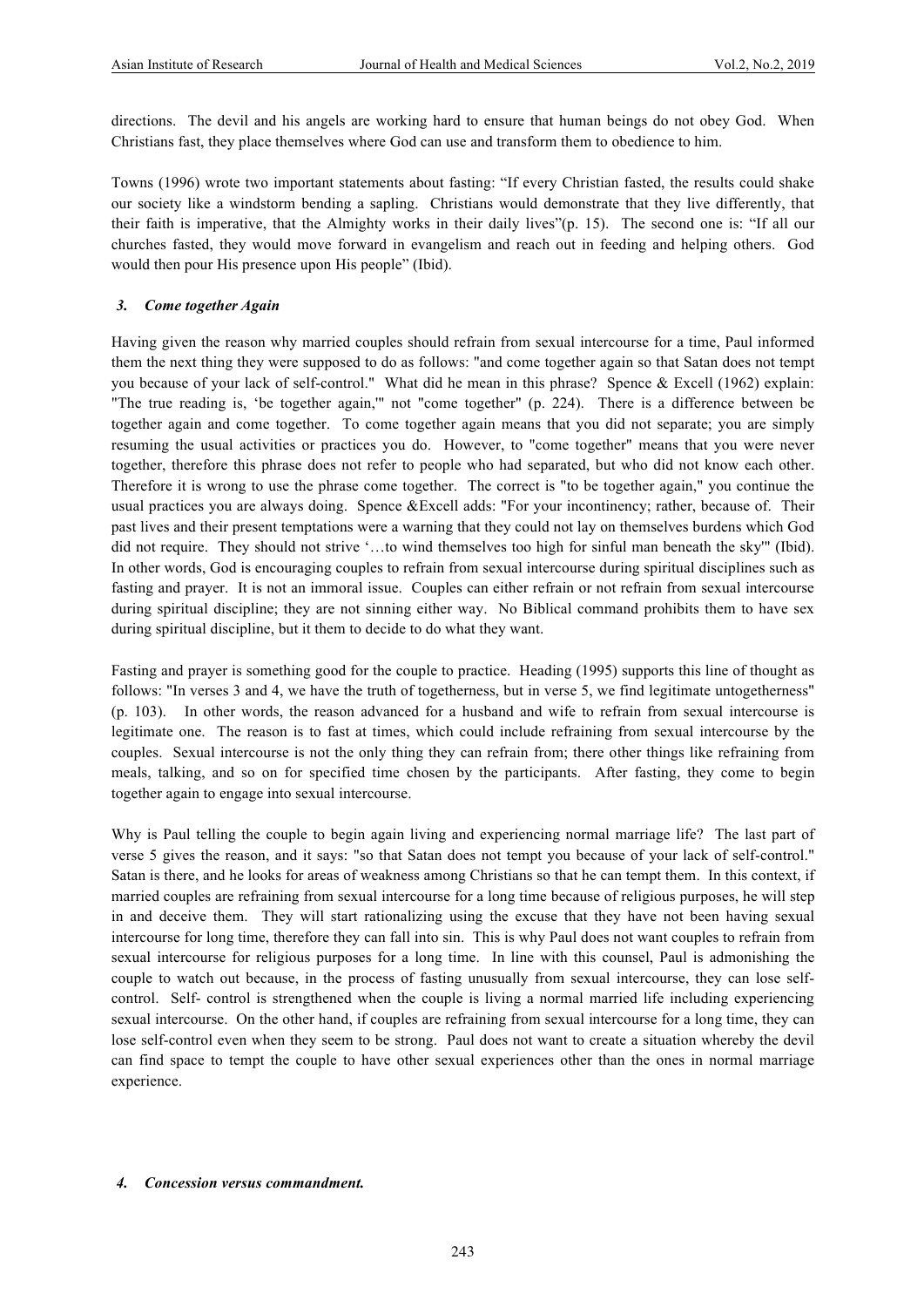directions. The devil and his angels are working hard to ensure that human beings do not obey God. When Christians fast, they place themselves where God can use and transform them to obedience to him.

Towns (1996) wrote two important statements about fasting: "If every Christian fasted, the results could shake our society like a windstorm bending a sapling. Christians would demonstrate that they live differently, that their faith is imperative, that the Almighty works in their daily lives"(p. 15). The second one is: "If all our churches fasted, they would move forward in evangelism and reach out in feeding and helping others. God would then pour His presence upon His people" (Ibid).

#### *3. Come together Again*

Having given the reason why married couples should refrain from sexual intercourse for a time, Paul informed them the next thing they were supposed to do as follows: "and come together again so that Satan does not tempt you because of your lack of self-control." What did he mean in this phrase? Spence & Excell (1962) explain: "The true reading is, 'be together again,'" not "come together" (p. 224). There is a difference between be together again and come together. To come together again means that you did not separate; you are simply resuming the usual activities or practices you do. However, to "come together" means that you were never together, therefore this phrase does not refer to people who had separated, but who did not know each other. Therefore it is wrong to use the phrase come together. The correct is "to be together again," you continue the usual practices you are always doing. Spence &Excell adds: "For your incontinency; rather, because of. Their past lives and their present temptations were a warning that they could not lay on themselves burdens which God did not require. They should not strive '…to wind themselves too high for sinful man beneath the sky'" (Ibid). In other words, God is encouraging couples to refrain from sexual intercourse during spiritual disciplines such as fasting and prayer. It is not an immoral issue. Couples can either refrain or not refrain from sexual intercourse during spiritual discipline; they are not sinning either way. No Biblical command prohibits them to have sex during spiritual discipline, but it them to decide to do what they want.

Fasting and prayer is something good for the couple to practice. Heading (1995) supports this line of thought as follows: "In verses 3 and 4, we have the truth of togetherness, but in verse 5, we find legitimate untogetherness" (p. 103). In other words, the reason advanced for a husband and wife to refrain from sexual intercourse is legitimate one. The reason is to fast at times, which could include refraining from sexual intercourse by the couples. Sexual intercourse is not the only thing they can refrain from; there other things like refraining from meals, talking, and so on for specified time chosen by the participants. After fasting, they come to begin together again to engage into sexual intercourse.

Why is Paul telling the couple to begin again living and experiencing normal marriage life? The last part of verse 5 gives the reason, and it says: "so that Satan does not tempt you because of your lack of self-control." Satan is there, and he looks for areas of weakness among Christians so that he can tempt them. In this context, if married couples are refraining from sexual intercourse for a long time because of religious purposes, he will step in and deceive them. They will start rationalizing using the excuse that they have not been having sexual intercourse for long time, therefore they can fall into sin. This is why Paul does not want couples to refrain from sexual intercourse for religious purposes for a long time. In line with this counsel, Paul is admonishing the couple to watch out because, in the process of fasting unusually from sexual intercourse, they can lose selfcontrol. Self- control is strengthened when the couple is living a normal married life including experiencing sexual intercourse. On the other hand, if couples are refraining from sexual intercourse for a long time, they can lose self-control even when they seem to be strong. Paul does not want to create a situation whereby the devil can find space to tempt the couple to have other sexual experiences other than the ones in normal marriage experience.

#### *4. Concession versus commandment.*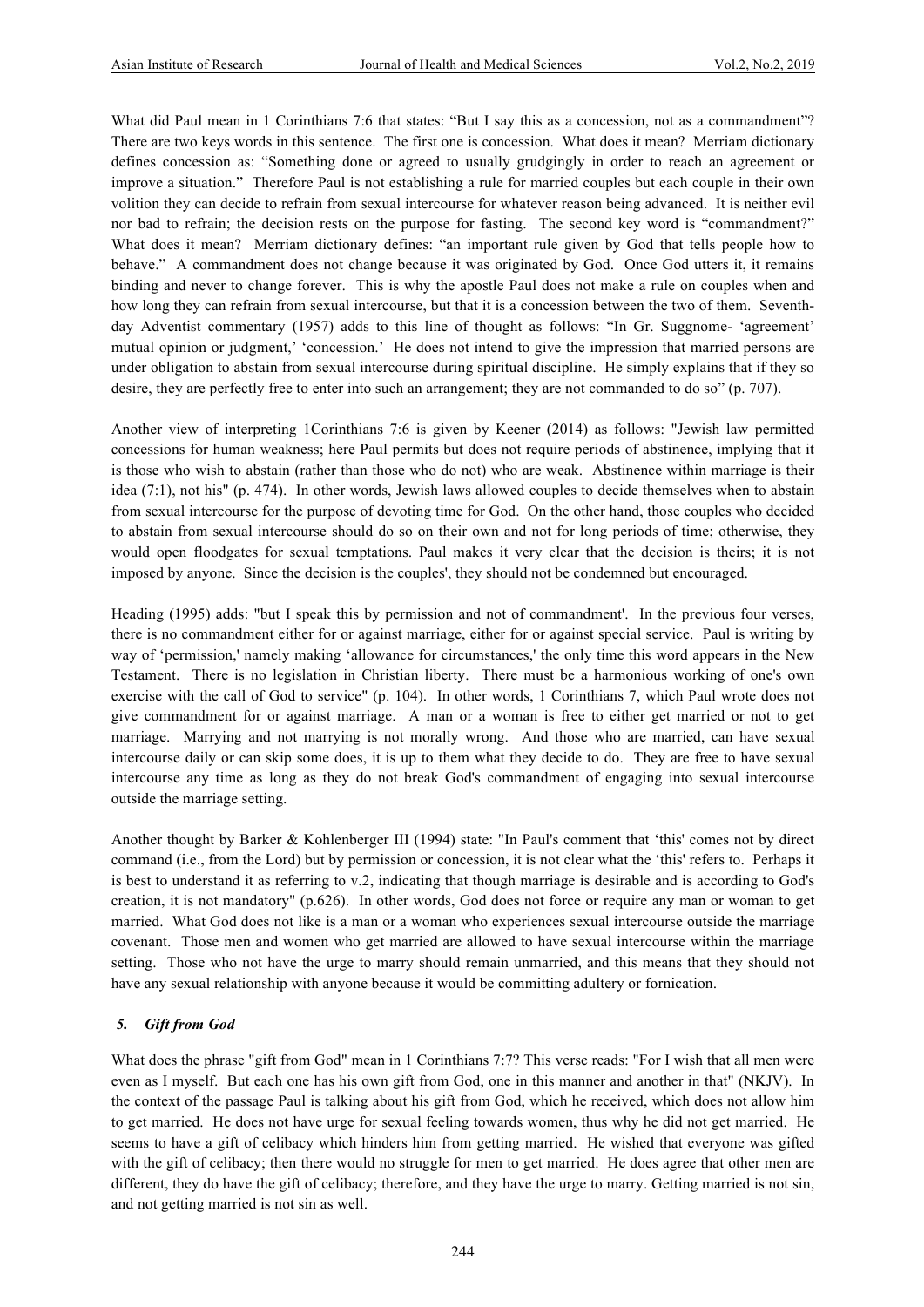What did Paul mean in 1 Corinthians 7:6 that states: "But I say this as a concession, not as a commandment"? There are two keys words in this sentence. The first one is concession. What does it mean? Merriam dictionary defines concession as: "Something done or agreed to usually grudgingly in order to reach an agreement or improve a situation." Therefore Paul is not establishing a rule for married couples but each couple in their own volition they can decide to refrain from sexual intercourse for whatever reason being advanced. It is neither evil nor bad to refrain; the decision rests on the purpose for fasting. The second key word is "commandment?" What does it mean? Merriam dictionary defines: "an important rule given by God that tells people how to behave." A commandment does not change because it was originated by God. Once God utters it, it remains binding and never to change forever. This is why the apostle Paul does not make a rule on couples when and how long they can refrain from sexual intercourse, but that it is a concession between the two of them. Seventhday Adventist commentary (1957) adds to this line of thought as follows: "In Gr. Suggnome- 'agreement' mutual opinion or judgment,' 'concession.' He does not intend to give the impression that married persons are under obligation to abstain from sexual intercourse during spiritual discipline. He simply explains that if they so desire, they are perfectly free to enter into such an arrangement; they are not commanded to do so" (p. 707).

Another view of interpreting 1Corinthians 7:6 is given by Keener (2014) as follows: "Jewish law permitted concessions for human weakness; here Paul permits but does not require periods of abstinence, implying that it is those who wish to abstain (rather than those who do not) who are weak. Abstinence within marriage is their idea (7:1), not his" (p. 474). In other words, Jewish laws allowed couples to decide themselves when to abstain from sexual intercourse for the purpose of devoting time for God. On the other hand, those couples who decided to abstain from sexual intercourse should do so on their own and not for long periods of time; otherwise, they would open floodgates for sexual temptations. Paul makes it very clear that the decision is theirs; it is not imposed by anyone. Since the decision is the couples', they should not be condemned but encouraged.

Heading (1995) adds: "but I speak this by permission and not of commandment'. In the previous four verses, there is no commandment either for or against marriage, either for or against special service. Paul is writing by way of 'permission,' namely making 'allowance for circumstances,' the only time this word appears in the New Testament. There is no legislation in Christian liberty. There must be a harmonious working of one's own exercise with the call of God to service" (p. 104). In other words, 1 Corinthians 7, which Paul wrote does not give commandment for or against marriage. A man or a woman is free to either get married or not to get marriage. Marrying and not marrying is not morally wrong. And those who are married, can have sexual intercourse daily or can skip some does, it is up to them what they decide to do. They are free to have sexual intercourse any time as long as they do not break God's commandment of engaging into sexual intercourse outside the marriage setting.

Another thought by Barker & Kohlenberger III (1994) state: "In Paul's comment that 'this' comes not by direct command (i.e., from the Lord) but by permission or concession, it is not clear what the 'this' refers to. Perhaps it is best to understand it as referring to v.2, indicating that though marriage is desirable and is according to God's creation, it is not mandatory" (p.626). In other words, God does not force or require any man or woman to get married. What God does not like is a man or a woman who experiences sexual intercourse outside the marriage covenant. Those men and women who get married are allowed to have sexual intercourse within the marriage setting. Those who not have the urge to marry should remain unmarried, and this means that they should not have any sexual relationship with anyone because it would be committing adultery or fornication.

## *5. Gift from God*

What does the phrase "gift from God" mean in 1 Corinthians 7:7? This verse reads: "For I wish that all men were even as I myself. But each one has his own gift from God, one in this manner and another in that" (NKJV). In the context of the passage Paul is talking about his gift from God, which he received, which does not allow him to get married. He does not have urge for sexual feeling towards women, thus why he did not get married. He seems to have a gift of celibacy which hinders him from getting married. He wished that everyone was gifted with the gift of celibacy; then there would no struggle for men to get married. He does agree that other men are different, they do have the gift of celibacy; therefore, and they have the urge to marry. Getting married is not sin, and not getting married is not sin as well.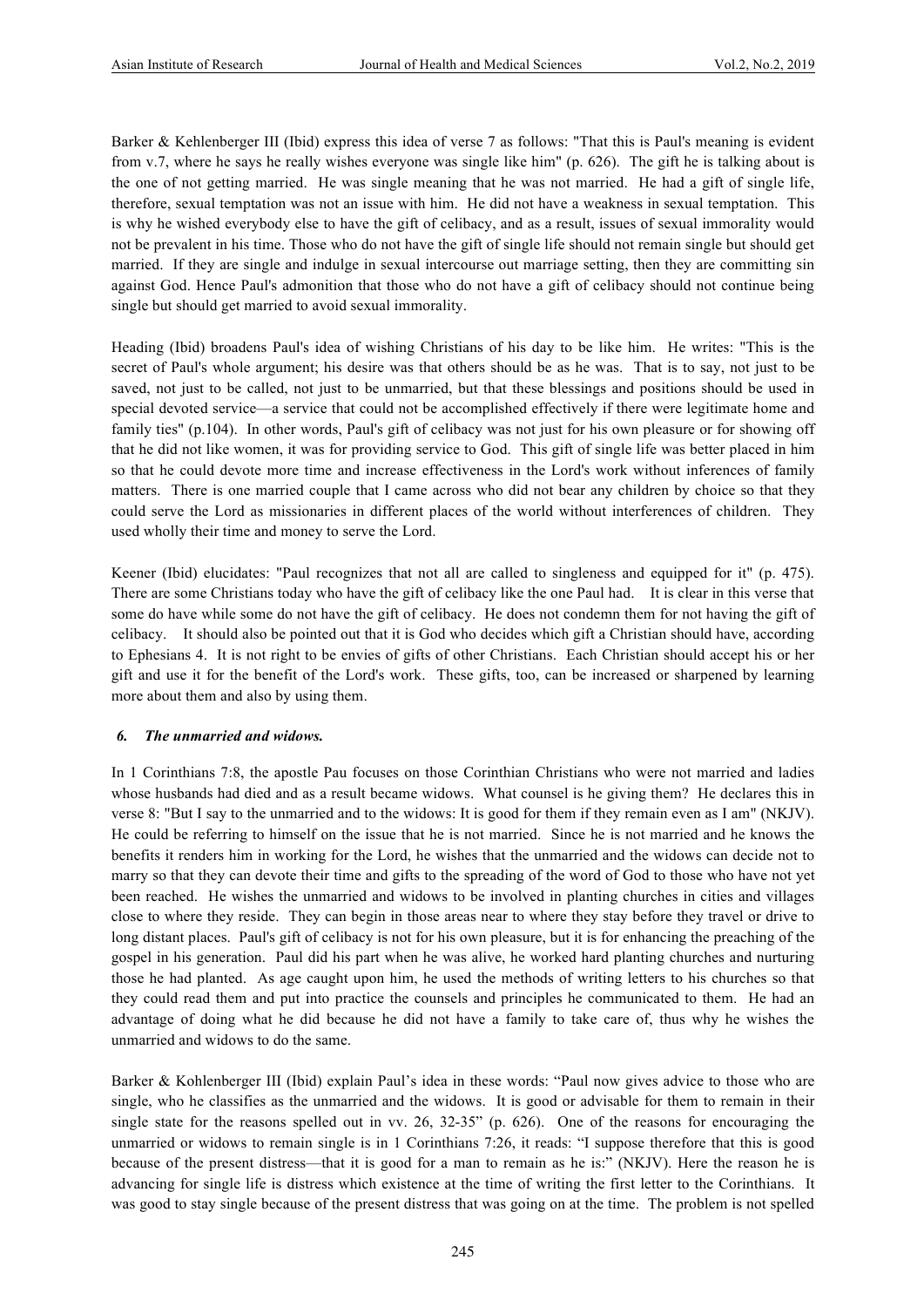Barker & Kehlenberger III (Ibid) express this idea of verse 7 as follows: "That this is Paul's meaning is evident from v.7, where he says he really wishes everyone was single like him" (p. 626). The gift he is talking about is the one of not getting married. He was single meaning that he was not married. He had a gift of single life, therefore, sexual temptation was not an issue with him. He did not have a weakness in sexual temptation. This is why he wished everybody else to have the gift of celibacy, and as a result, issues of sexual immorality would not be prevalent in his time. Those who do not have the gift of single life should not remain single but should get married. If they are single and indulge in sexual intercourse out marriage setting, then they are committing sin against God. Hence Paul's admonition that those who do not have a gift of celibacy should not continue being single but should get married to avoid sexual immorality.

Heading (Ibid) broadens Paul's idea of wishing Christians of his day to be like him. He writes: "This is the secret of Paul's whole argument; his desire was that others should be as he was. That is to say, not just to be saved, not just to be called, not just to be unmarried, but that these blessings and positions should be used in special devoted service—a service that could not be accomplished effectively if there were legitimate home and family ties" (p.104). In other words, Paul's gift of celibacy was not just for his own pleasure or for showing off that he did not like women, it was for providing service to God. This gift of single life was better placed in him so that he could devote more time and increase effectiveness in the Lord's work without inferences of family matters. There is one married couple that I came across who did not bear any children by choice so that they could serve the Lord as missionaries in different places of the world without interferences of children. They used wholly their time and money to serve the Lord.

Keener (Ibid) elucidates: "Paul recognizes that not all are called to singleness and equipped for it" (p. 475). There are some Christians today who have the gift of celibacy like the one Paul had. It is clear in this verse that some do have while some do not have the gift of celibacy. He does not condemn them for not having the gift of celibacy. It should also be pointed out that it is God who decides which gift a Christian should have, according to Ephesians 4. It is not right to be envies of gifts of other Christians. Each Christian should accept his or her gift and use it for the benefit of the Lord's work. These gifts, too, can be increased or sharpened by learning more about them and also by using them.

#### *6. The unmarried and widows.*

In 1 Corinthians 7:8, the apostle Pau focuses on those Corinthian Christians who were not married and ladies whose husbands had died and as a result became widows. What counsel is he giving them? He declares this in verse 8: "But I say to the unmarried and to the widows: It is good for them if they remain even as I am" (NKJV). He could be referring to himself on the issue that he is not married. Since he is not married and he knows the benefits it renders him in working for the Lord, he wishes that the unmarried and the widows can decide not to marry so that they can devote their time and gifts to the spreading of the word of God to those who have not yet been reached. He wishes the unmarried and widows to be involved in planting churches in cities and villages close to where they reside. They can begin in those areas near to where they stay before they travel or drive to long distant places. Paul's gift of celibacy is not for his own pleasure, but it is for enhancing the preaching of the gospel in his generation. Paul did his part when he was alive, he worked hard planting churches and nurturing those he had planted. As age caught upon him, he used the methods of writing letters to his churches so that they could read them and put into practice the counsels and principles he communicated to them. He had an advantage of doing what he did because he did not have a family to take care of, thus why he wishes the unmarried and widows to do the same.

Barker & Kohlenberger III (Ibid) explain Paul's idea in these words: "Paul now gives advice to those who are single, who he classifies as the unmarried and the widows. It is good or advisable for them to remain in their single state for the reasons spelled out in vv. 26, 32-35" (p. 626). One of the reasons for encouraging the unmarried or widows to remain single is in 1 Corinthians 7:26, it reads: "I suppose therefore that this is good because of the present distress—that it is good for a man to remain as he is:" (NKJV). Here the reason he is advancing for single life is distress which existence at the time of writing the first letter to the Corinthians. It was good to stay single because of the present distress that was going on at the time. The problem is not spelled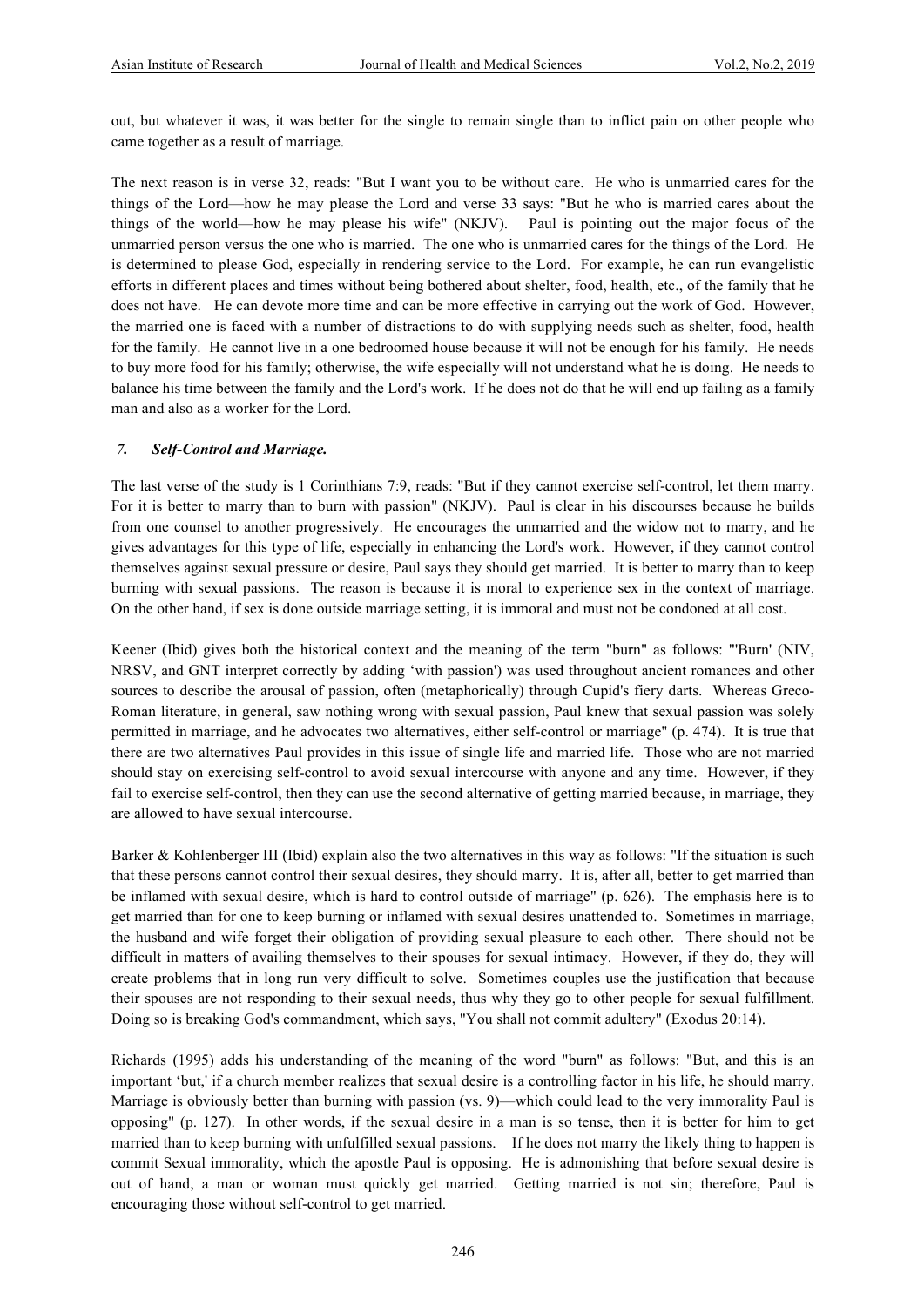out, but whatever it was, it was better for the single to remain single than to inflict pain on other people who came together as a result of marriage.

The next reason is in verse 32, reads: "But I want you to be without care. He who is unmarried cares for the things of the Lord—how he may please the Lord and verse 33 says: "But he who is married cares about the things of the world—how he may please his wife" (NKJV). Paul is pointing out the major focus of the unmarried person versus the one who is married. The one who is unmarried cares for the things of the Lord. He is determined to please God, especially in rendering service to the Lord. For example, he can run evangelistic efforts in different places and times without being bothered about shelter, food, health, etc., of the family that he does not have. He can devote more time and can be more effective in carrying out the work of God. However, the married one is faced with a number of distractions to do with supplying needs such as shelter, food, health for the family. He cannot live in a one bedroomed house because it will not be enough for his family. He needs to buy more food for his family; otherwise, the wife especially will not understand what he is doing. He needs to balance his time between the family and the Lord's work. If he does not do that he will end up failing as a family man and also as a worker for the Lord.

#### *7. Self-Control and Marriage.*

The last verse of the study is 1 Corinthians 7:9, reads: "But if they cannot exercise self-control, let them marry. For it is better to marry than to burn with passion" (NKJV). Paul is clear in his discourses because he builds from one counsel to another progressively. He encourages the unmarried and the widow not to marry, and he gives advantages for this type of life, especially in enhancing the Lord's work. However, if they cannot control themselves against sexual pressure or desire, Paul says they should get married. It is better to marry than to keep burning with sexual passions. The reason is because it is moral to experience sex in the context of marriage. On the other hand, if sex is done outside marriage setting, it is immoral and must not be condoned at all cost.

Keener (Ibid) gives both the historical context and the meaning of the term "burn" as follows: "'Burn' (NIV, NRSV, and GNT interpret correctly by adding 'with passion') was used throughout ancient romances and other sources to describe the arousal of passion, often (metaphorically) through Cupid's fiery darts. Whereas Greco-Roman literature, in general, saw nothing wrong with sexual passion, Paul knew that sexual passion was solely permitted in marriage, and he advocates two alternatives, either self-control or marriage" (p. 474). It is true that there are two alternatives Paul provides in this issue of single life and married life. Those who are not married should stay on exercising self-control to avoid sexual intercourse with anyone and any time. However, if they fail to exercise self-control, then they can use the second alternative of getting married because, in marriage, they are allowed to have sexual intercourse.

Barker & Kohlenberger III (Ibid) explain also the two alternatives in this way as follows: "If the situation is such that these persons cannot control their sexual desires, they should marry. It is, after all, better to get married than be inflamed with sexual desire, which is hard to control outside of marriage" (p. 626). The emphasis here is to get married than for one to keep burning or inflamed with sexual desires unattended to. Sometimes in marriage, the husband and wife forget their obligation of providing sexual pleasure to each other. There should not be difficult in matters of availing themselves to their spouses for sexual intimacy. However, if they do, they will create problems that in long run very difficult to solve. Sometimes couples use the justification that because their spouses are not responding to their sexual needs, thus why they go to other people for sexual fulfillment. Doing so is breaking God's commandment, which says, "You shall not commit adultery" (Exodus 20:14).

Richards (1995) adds his understanding of the meaning of the word "burn" as follows: "But, and this is an important 'but,' if a church member realizes that sexual desire is a controlling factor in his life, he should marry. Marriage is obviously better than burning with passion (vs. 9)—which could lead to the very immorality Paul is opposing" (p. 127). In other words, if the sexual desire in a man is so tense, then it is better for him to get married than to keep burning with unfulfilled sexual passions. If he does not marry the likely thing to happen is commit Sexual immorality, which the apostle Paul is opposing. He is admonishing that before sexual desire is out of hand, a man or woman must quickly get married. Getting married is not sin; therefore, Paul is encouraging those without self-control to get married.